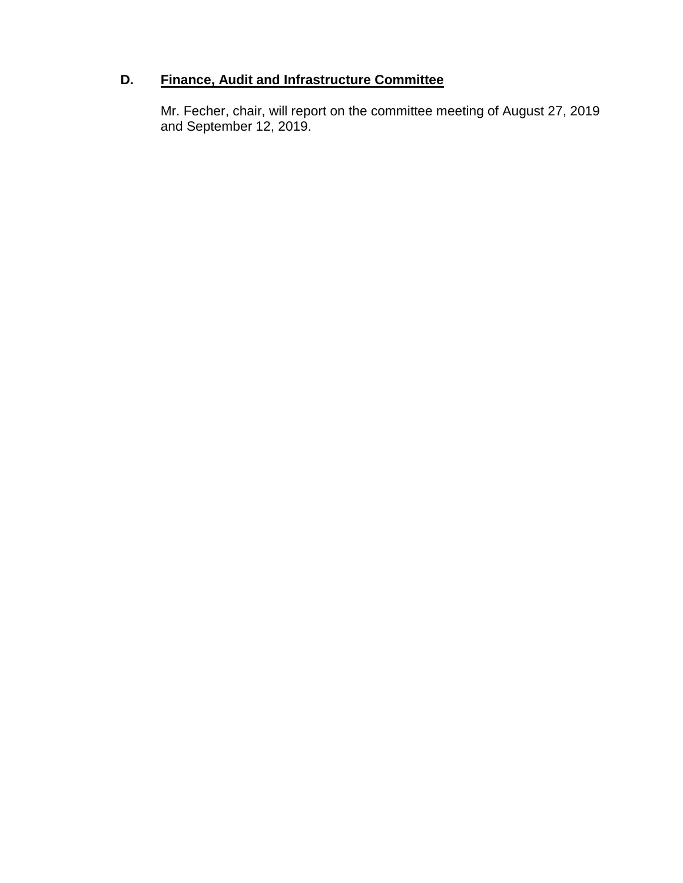# **D. Finance, Audit and Infrastructure Committee**

Mr. Fecher, chair, will report on the committee meeting of August 27, 2019 and September 12, 2019.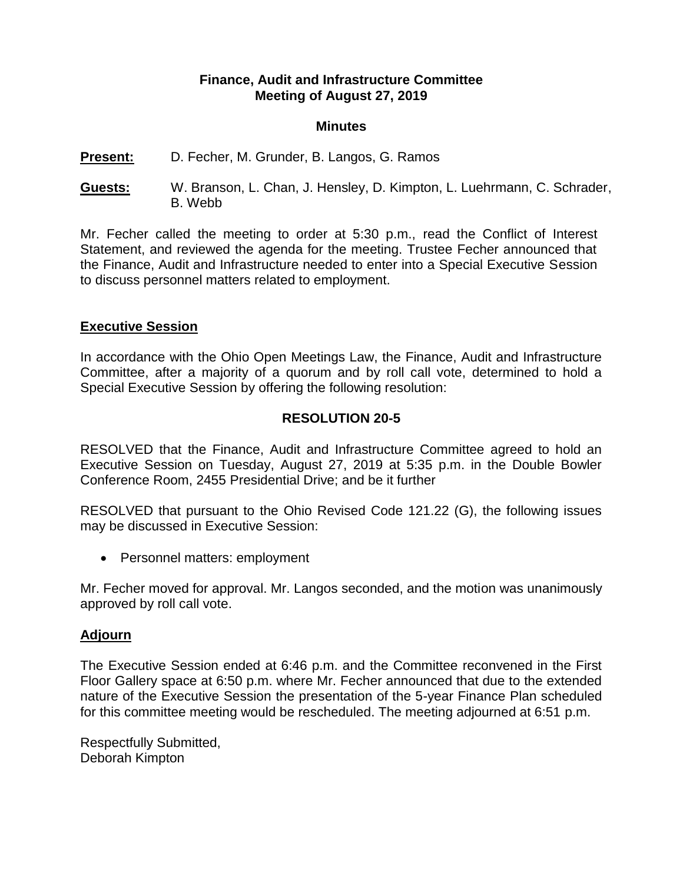### **Finance, Audit and Infrastructure Committee Meeting of August 27, 2019**

#### **Minutes**

### **Present:** D. Fecher, M. Grunder, B. Langos, G. Ramos

**Guests:** W. Branson, L. Chan, J. Hensley, D. Kimpton, L. Luehrmann, C. Schrader, B. Webb

Mr. Fecher called the meeting to order at 5:30 p.m., read the Conflict of Interest Statement, and reviewed the agenda for the meeting. Trustee Fecher announced that the Finance, Audit and Infrastructure needed to enter into a Special Executive Session to discuss personnel matters related to employment.

### **Executive Session**

In accordance with the Ohio Open Meetings Law, the Finance, Audit and Infrastructure Committee, after a majority of a quorum and by roll call vote, determined to hold a Special Executive Session by offering the following resolution:

# **RESOLUTION 20-5**

RESOLVED that the Finance, Audit and Infrastructure Committee agreed to hold an Executive Session on Tuesday, August 27, 2019 at 5:35 p.m. in the Double Bowler Conference Room, 2455 Presidential Drive; and be it further

RESOLVED that pursuant to the Ohio Revised Code 121.22 (G), the following issues may be discussed in Executive Session:

• Personnel matters: employment

Mr. Fecher moved for approval. Mr. Langos seconded, and the motion was unanimously approved by roll call vote.

### **Adjourn**

The Executive Session ended at 6:46 p.m. and the Committee reconvened in the First Floor Gallery space at 6:50 p.m. where Mr. Fecher announced that due to the extended nature of the Executive Session the presentation of the 5-year Finance Plan scheduled for this committee meeting would be rescheduled. The meeting adjourned at 6:51 p.m.

Respectfully Submitted, Deborah Kimpton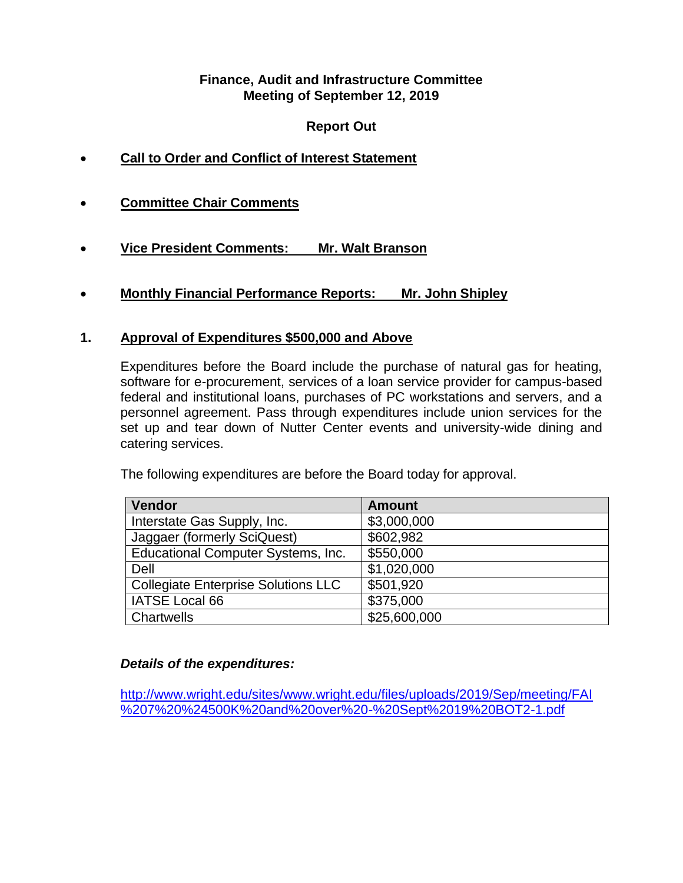### **Finance, Audit and Infrastructure Committee Meeting of September 12, 2019**

# **Report Out**

- **Call to Order and Conflict of Interest Statement**
- **Committee Chair Comments**
- **Vice President Comments: Mr. Walt Branson**
- **Monthly Financial Performance Reports: Mr. John Shipley**

## **1. Approval of Expenditures \$500,000 and Above**

Expenditures before the Board include the purchase of natural gas for heating, software for e-procurement, services of a loan service provider for campus-based federal and institutional loans, purchases of PC workstations and servers, and a personnel agreement. Pass through expenditures include union services for the set up and tear down of Nutter Center events and university-wide dining and catering services.

The following expenditures are before the Board today for approval.

| <b>Vendor</b>                              | <b>Amount</b> |
|--------------------------------------------|---------------|
| Interstate Gas Supply, Inc.                | \$3,000,000   |
| Jaggaer (formerly SciQuest)                | \$602,982     |
| Educational Computer Systems, Inc.         | \$550,000     |
| Dell                                       | \$1,020,000   |
| <b>Collegiate Enterprise Solutions LLC</b> | \$501,920     |
| IATSE Local 66                             | \$375,000     |
| <b>Chartwells</b>                          | \$25,600,000  |

### *Details of the expenditures:*

[http://www.wright.edu/sites/www.wright.edu/files/uploads/2019/Sep/meeting/FAI](http://www.wright.edu/sites/www.wright.edu/files/uploads/2019/Sep/meeting/FAI%207%20%24500K%20and%20over%20-%20Sept%2019%20BOT2-1.pdf) [%207%20%24500K%20and%20over%20-%20Sept%2019%20BOT2-1.pdf](http://www.wright.edu/sites/www.wright.edu/files/uploads/2019/Sep/meeting/FAI%207%20%24500K%20and%20over%20-%20Sept%2019%20BOT2-1.pdf)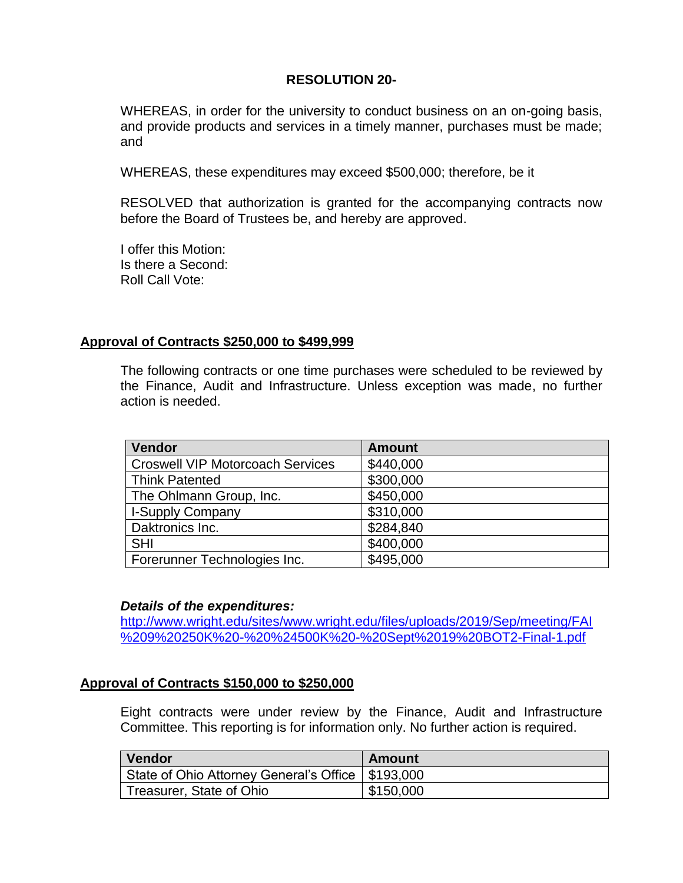### **RESOLUTION 20-**

WHEREAS, in order for the university to conduct business on an on-going basis, and provide products and services in a timely manner, purchases must be made; and

WHEREAS, these expenditures may exceed \$500,000; therefore, be it

RESOLVED that authorization is granted for the accompanying contracts now before the Board of Trustees be, and hereby are approved.

I offer this Motion: Is there a Second: Roll Call Vote:

#### **Approval of Contracts \$250,000 to \$499,999**

The following contracts or one time purchases were scheduled to be reviewed by the Finance, Audit and Infrastructure. Unless exception was made, no further action is needed.

| Vendor                                  | <b>Amount</b> |
|-----------------------------------------|---------------|
| <b>Croswell VIP Motorcoach Services</b> | \$440,000     |
| <b>Think Patented</b>                   | \$300,000     |
| The Ohlmann Group, Inc.                 | \$450,000     |
| <b>I-Supply Company</b>                 | \$310,000     |
| Daktronics Inc.                         | \$284,840     |
| <b>SHI</b>                              | \$400,000     |
| Forerunner Technologies Inc.            | \$495,000     |

#### *Details of the expenditures:*

[http://www.wright.edu/sites/www.wright.edu/files/uploads/2019/Sep/meeting/FAI](http://www.wright.edu/sites/www.wright.edu/files/uploads/2019/Sep/meeting/FAI%209%20250K%20-%20%24500K%20-%20Sept%2019%20BOT2-Final-1.pdf) [%209%20250K%20-%20%24500K%20-%20Sept%2019%20BOT2-Final-1.pdf](http://www.wright.edu/sites/www.wright.edu/files/uploads/2019/Sep/meeting/FAI%209%20250K%20-%20%24500K%20-%20Sept%2019%20BOT2-Final-1.pdf)

### **Approval of Contracts \$150,000 to \$250,000**

Eight contracts were under review by the Finance, Audit and Infrastructure Committee. This reporting is for information only. No further action is required.

| Vendor                                              | Amount    |
|-----------------------------------------------------|-----------|
| State of Ohio Attorney General's Office   \$193,000 |           |
| Treasurer, State of Ohio                            | \$150,000 |